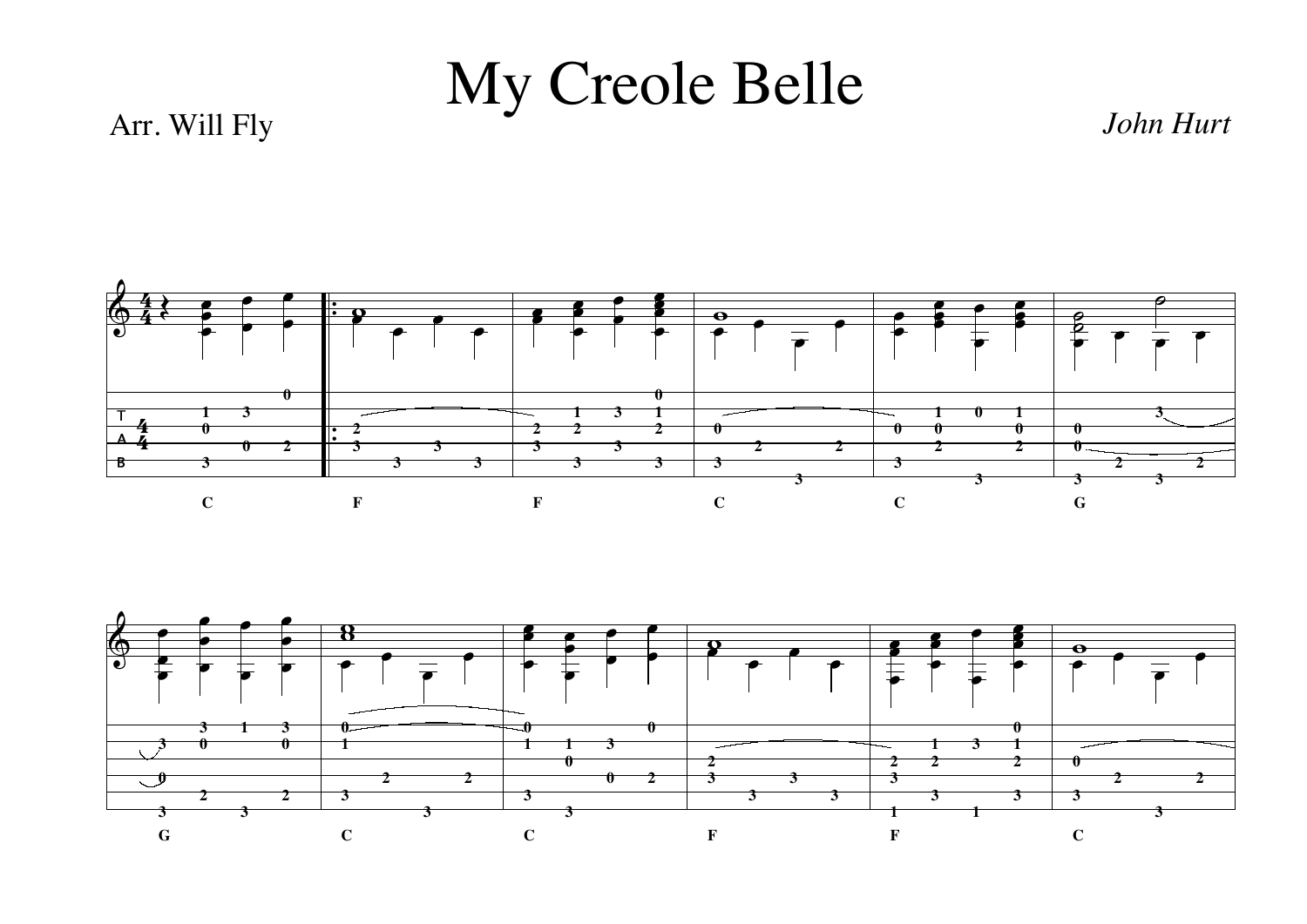## My Creole Belle

## Arr. Will Fly